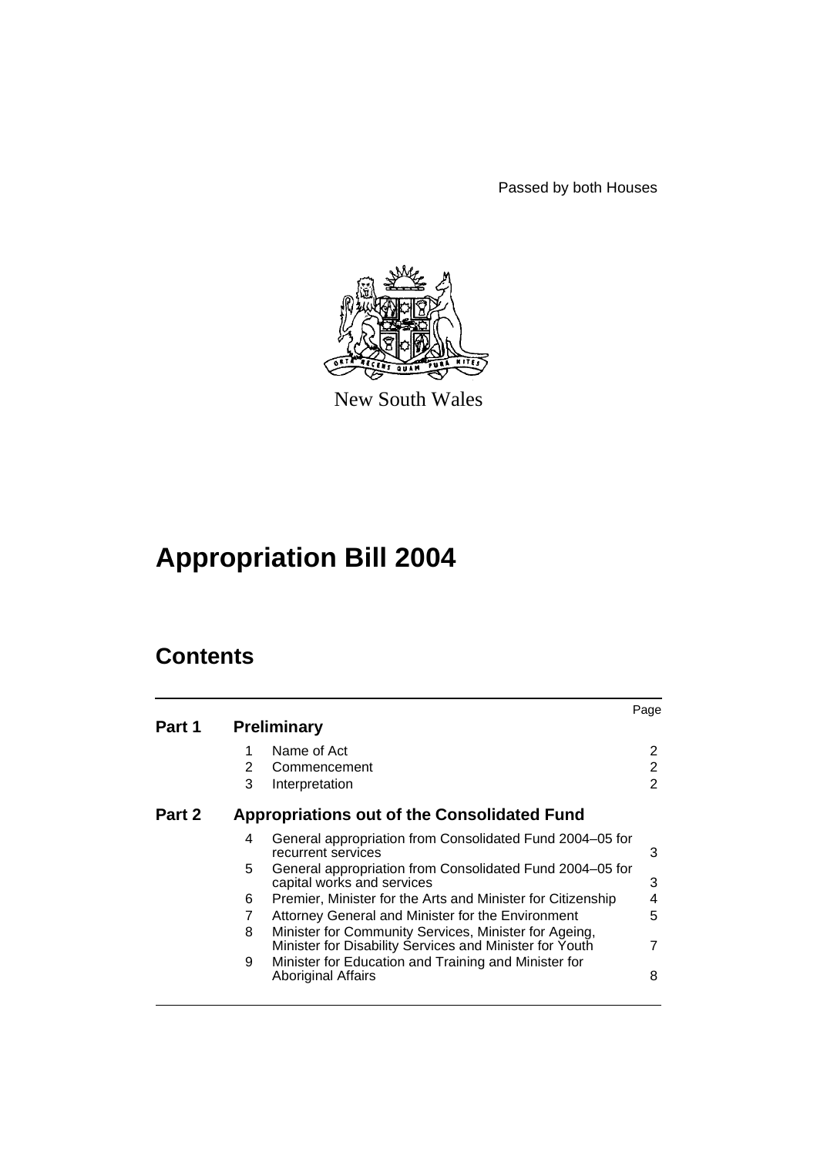Passed by both Houses



New South Wales

# **Appropriation Bill 2004**

# **Contents**

|        |   |                                                                                                                  | Page           |
|--------|---|------------------------------------------------------------------------------------------------------------------|----------------|
| Part 1 |   | <b>Preliminary</b>                                                                                               |                |
|        |   | Name of Act                                                                                                      | 2              |
|        | 2 | Commencement                                                                                                     | 2              |
|        | 3 | Interpretation                                                                                                   | $\overline{2}$ |
| Part 2 |   | <b>Appropriations out of the Consolidated Fund</b>                                                               |                |
|        | 4 | General appropriation from Consolidated Fund 2004–05 for<br>recurrent services                                   | 3              |
|        | 5 | General appropriation from Consolidated Fund 2004–05 for<br>capital works and services                           | 3              |
|        | 6 | Premier, Minister for the Arts and Minister for Citizenship                                                      | 4              |
|        |   | Attorney General and Minister for the Environment                                                                | 5              |
|        | 8 | Minister for Community Services, Minister for Ageing,<br>Minister for Disability Services and Minister for Youth |                |
|        | 9 | Minister for Education and Training and Minister for<br><b>Aboriginal Affairs</b>                                | 8              |
|        |   |                                                                                                                  |                |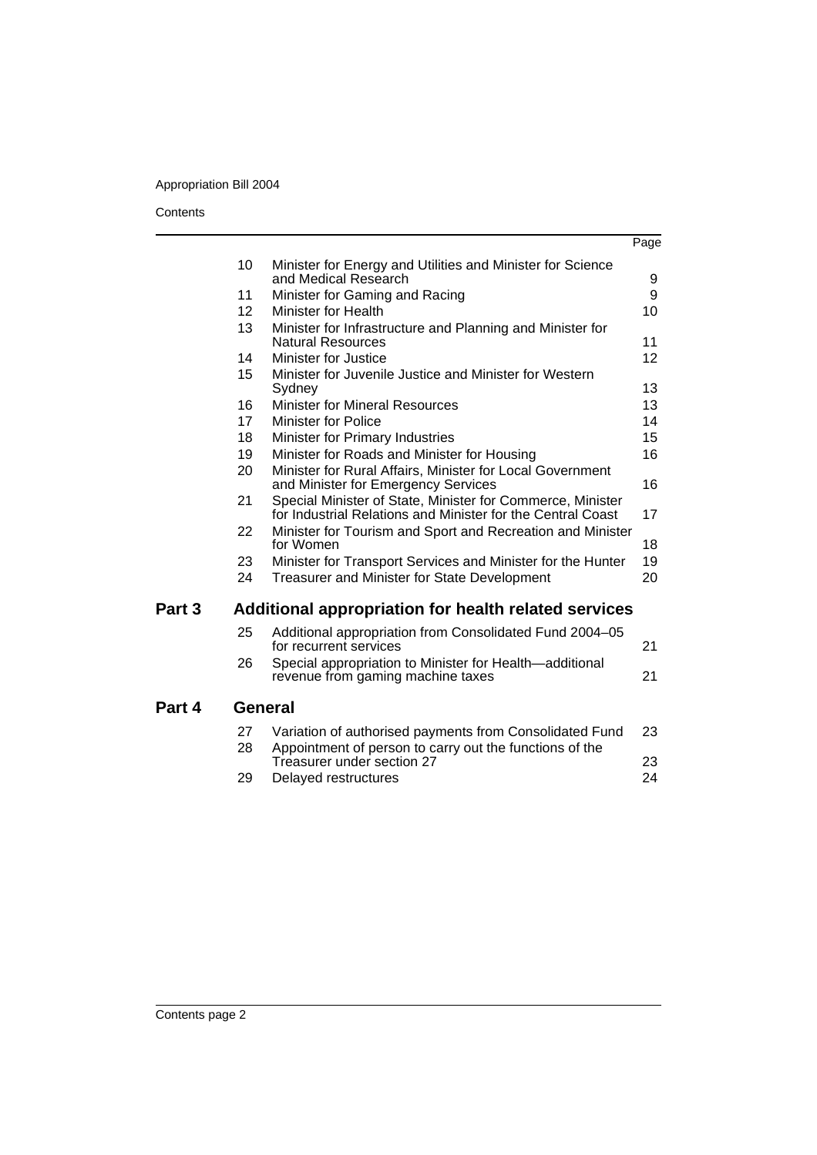# Appropriation Bill 2004

#### **Contents**

l.

|        |                 |                                                                                                                           | Page |
|--------|-----------------|---------------------------------------------------------------------------------------------------------------------------|------|
|        | 10              | Minister for Energy and Utilities and Minister for Science                                                                |      |
|        |                 | and Medical Research                                                                                                      | 9    |
|        | 11              | Minister for Gaming and Racing                                                                                            | 9    |
|        | 12 <sup>2</sup> | Minister for Health                                                                                                       | 10   |
|        | 13              | Minister for Infrastructure and Planning and Minister for<br><b>Natural Resources</b>                                     | 11   |
|        | 14              | Minister for Justice                                                                                                      | 12   |
|        | 15              | Minister for Juvenile Justice and Minister for Western<br>Sydney                                                          | 13   |
|        | 16              | <b>Minister for Mineral Resources</b>                                                                                     | 13   |
|        | 17              | <b>Minister for Police</b>                                                                                                | 14   |
|        | 18              | Minister for Primary Industries                                                                                           | 15   |
|        | 19              | Minister for Roads and Minister for Housing                                                                               | 16   |
|        | 20              | Minister for Rural Affairs, Minister for Local Government<br>and Minister for Emergency Services                          | 16   |
|        | 21              | Special Minister of State, Minister for Commerce, Minister<br>for Industrial Relations and Minister for the Central Coast | 17   |
|        | 22              | Minister for Tourism and Sport and Recreation and Minister<br>for Women                                                   | 18   |
|        | 23              | Minister for Transport Services and Minister for the Hunter                                                               | 19   |
|        | 24              | Treasurer and Minister for State Development                                                                              | 20   |
| Part 3 |                 | Additional appropriation for health related services                                                                      |      |
|        | 25              | Additional appropriation from Consolidated Fund 2004-05<br>for recurrent services                                         | 21   |
|        | 26              | Special appropriation to Minister for Health-additional<br>revenue from gaming machine taxes                              | 21   |
| Part 4 |                 | <b>General</b>                                                                                                            |      |
|        | 27              | Variation of authorised payments from Consolidated Fund                                                                   | 23   |
|        | 28              | Appointment of person to carry out the functions of the<br>Treasurer under section 27                                     | 23   |
|        | 29              | Delayed restructures                                                                                                      | 24   |
|        |                 |                                                                                                                           |      |

**Part**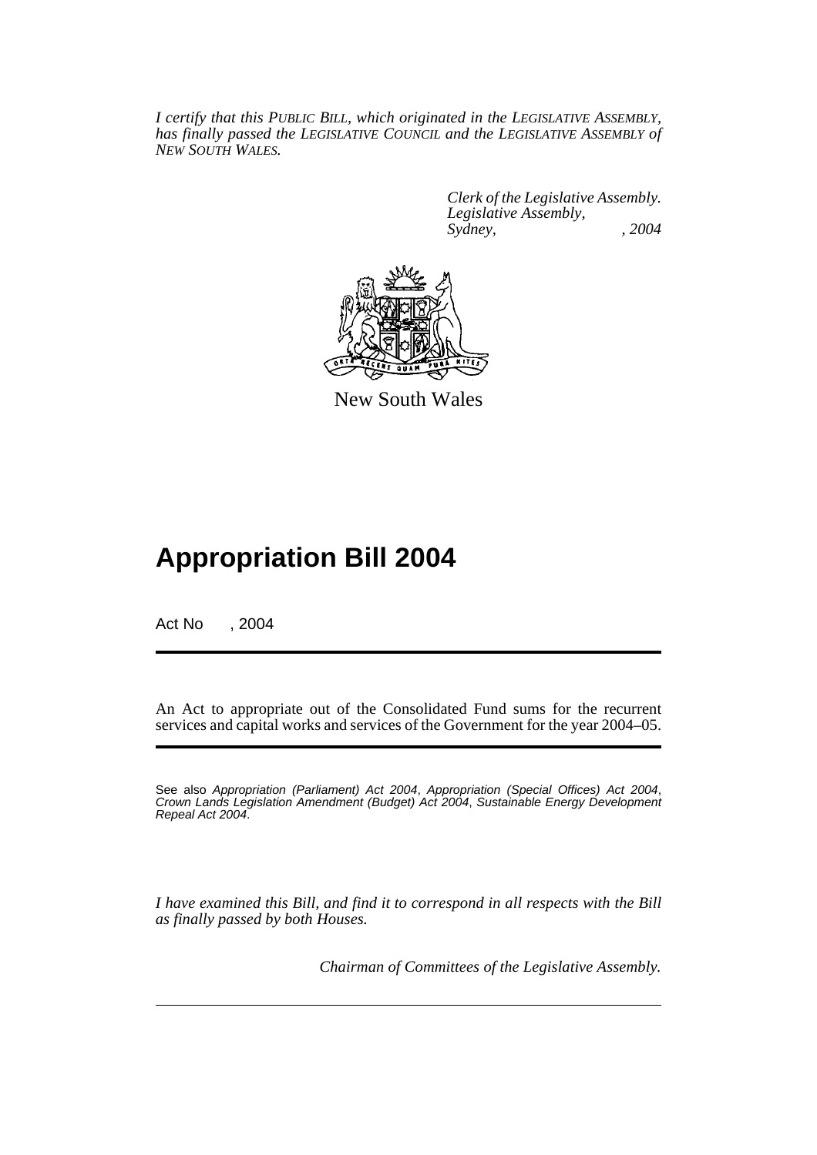*I certify that this PUBLIC BILL, which originated in the LEGISLATIVE ASSEMBLY, has finally passed the LEGISLATIVE COUNCIL and the LEGISLATIVE ASSEMBLY of NEW SOUTH WALES.*

> *Clerk of the Legislative Assembly. Legislative Assembly, Sydney, , 2004*



New South Wales

# **Appropriation Bill 2004**

Act No , 2004

An Act to appropriate out of the Consolidated Fund sums for the recurrent services and capital works and services of the Government for the year 2004–05.

See also *Appropriation (Parliament) Act 2004*, *Appropriation (Special Offices) Act 2004*, *Crown Lands Legislation Amendment (Budget) Act 2004*, *Sustainable Energy Development Repeal Act 2004*.

*I have examined this Bill, and find it to correspond in all respects with the Bill as finally passed by both Houses.*

*Chairman of Committees of the Legislative Assembly.*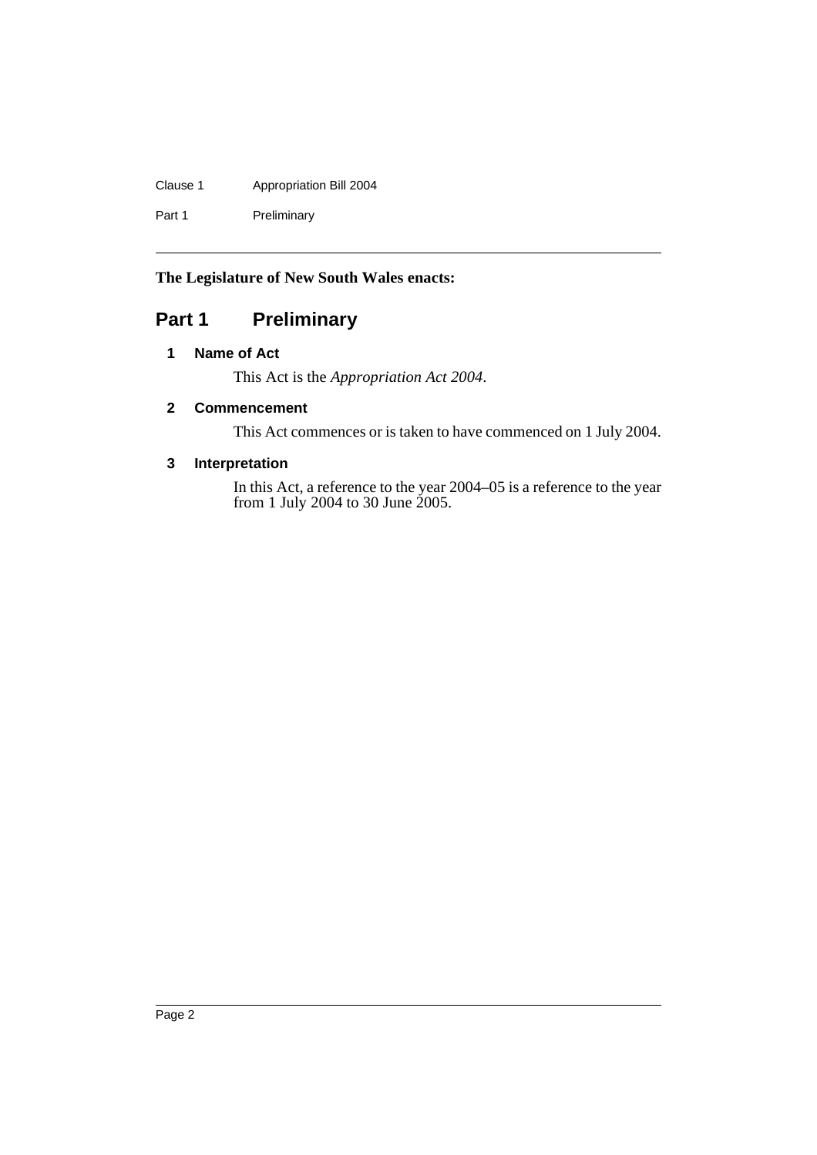# Clause 1 Appropriation Bill 2004

Part 1 Preliminary

# **The Legislature of New South Wales enacts:**

# **Part 1 Preliminary**

# **1 Name of Act**

This Act is the *Appropriation Act 2004*.

# **2 Commencement**

This Act commences or is taken to have commenced on 1 July 2004.

# **3 Interpretation**

In this Act, a reference to the year 2004–05 is a reference to the year from 1 July 2004 to 30 June 2005.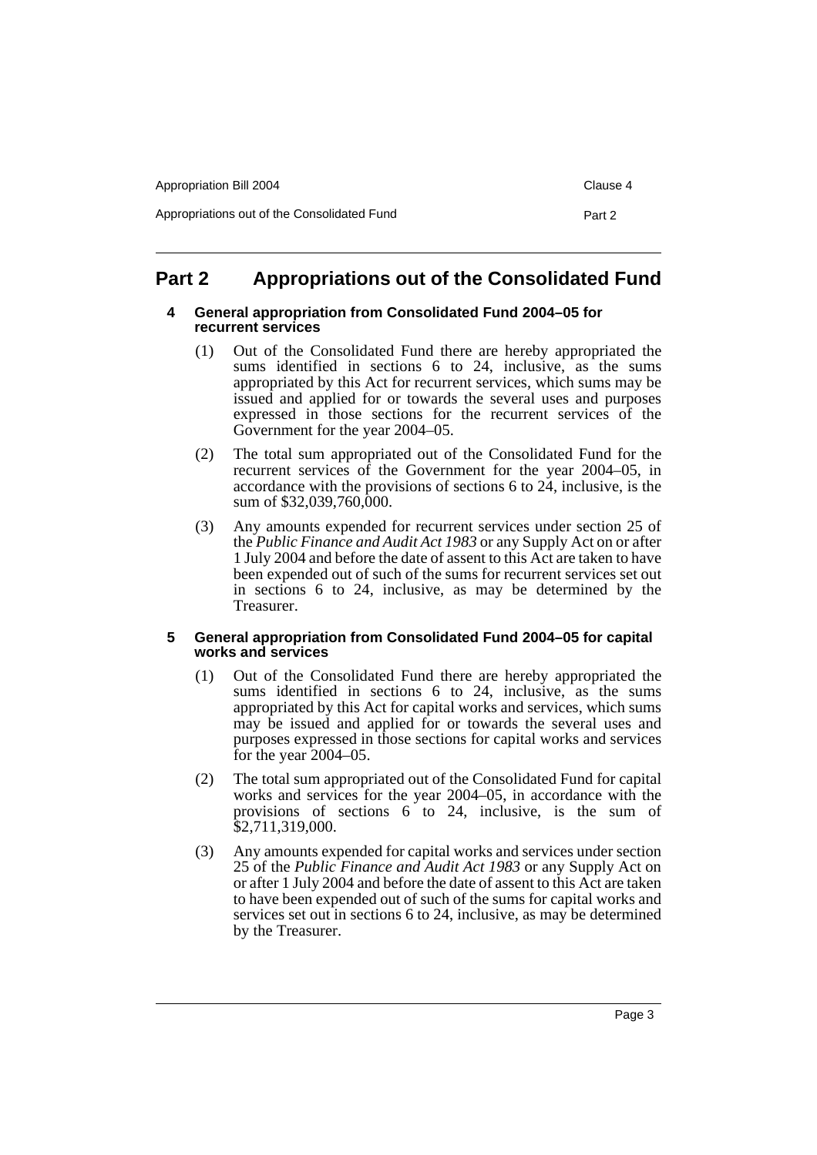| Appropriation Bill 2004                     | Clause 4 |
|---------------------------------------------|----------|
| Appropriations out of the Consolidated Fund | Part 2   |

# **Part 2 Appropriations out of the Consolidated Fund**

#### **4 General appropriation from Consolidated Fund 2004–05 for recurrent services**

- (1) Out of the Consolidated Fund there are hereby appropriated the sums identified in sections 6 to 24, inclusive, as the sums appropriated by this Act for recurrent services, which sums may be issued and applied for or towards the several uses and purposes expressed in those sections for the recurrent services of the Government for the year 2004–05.
- (2) The total sum appropriated out of the Consolidated Fund for the recurrent services of the Government for the year 2004–05, in accordance with the provisions of sections 6 to 24, inclusive, is the sum of \$32,039,760,000.
- (3) Any amounts expended for recurrent services under section 25 of the *Public Finance and Audit Act 1983* or any Supply Act on or after 1 July 2004 and before the date of assent to this Act are taken to have been expended out of such of the sums for recurrent services set out in sections 6 to 24, inclusive, as may be determined by the Treasurer.

# **5 General appropriation from Consolidated Fund 2004–05 for capital works and services**

- (1) Out of the Consolidated Fund there are hereby appropriated the sums identified in sections 6 to 24, inclusive, as the sums appropriated by this Act for capital works and services, which sums may be issued and applied for or towards the several uses and purposes expressed in those sections for capital works and services for the year 2004–05.
- (2) The total sum appropriated out of the Consolidated Fund for capital works and services for the year 2004–05, in accordance with the provisions of sections 6 to 24, inclusive, is the sum of \$2,711,319,000.
- (3) Any amounts expended for capital works and services under section 25 of the *Public Finance and Audit Act 1983* or any Supply Act on or after 1 July 2004 and before the date of assent to this Act are taken to have been expended out of such of the sums for capital works and services set out in sections 6 to 24, inclusive, as may be determined by the Treasurer.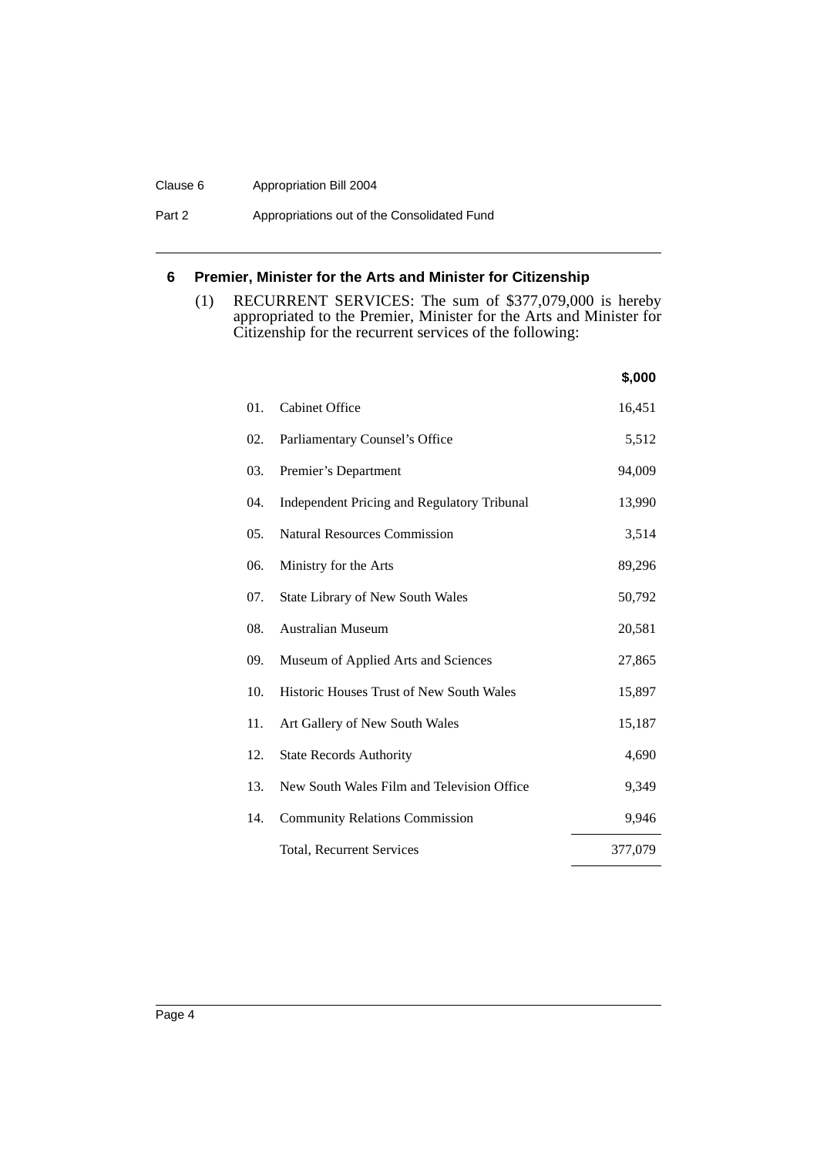#### Clause 6 Appropriation Bill 2004

Part 2 **Appropriations out of the Consolidated Fund** 

# **6 Premier, Minister for the Arts and Minister for Citizenship**

(1) RECURRENT SERVICES: The sum of \$377,079,000 is hereby appropriated to the Premier, Minister for the Arts and Minister for Citizenship for the recurrent services of the following:

|     |                                                    | \$,000  |
|-----|----------------------------------------------------|---------|
| 01. | <b>Cabinet Office</b>                              | 16,451  |
| 02. | Parliamentary Counsel's Office                     | 5,512   |
| 03. | Premier's Department                               | 94,009  |
| 04. | <b>Independent Pricing and Regulatory Tribunal</b> | 13,990  |
| 05. | <b>Natural Resources Commission</b>                | 3,514   |
| 06. | Ministry for the Arts                              | 89,296  |
| 07. | <b>State Library of New South Wales</b>            | 50,792  |
| 08. | <b>Australian Museum</b>                           | 20,581  |
| 09. | Museum of Applied Arts and Sciences                | 27,865  |
| 10. | Historic Houses Trust of New South Wales           | 15,897  |
| 11. | Art Gallery of New South Wales                     | 15,187  |
| 12. | <b>State Records Authority</b>                     | 4,690   |
| 13. | New South Wales Film and Television Office         | 9,349   |
| 14. | <b>Community Relations Commission</b>              | 9.946   |
|     | <b>Total, Recurrent Services</b>                   | 377,079 |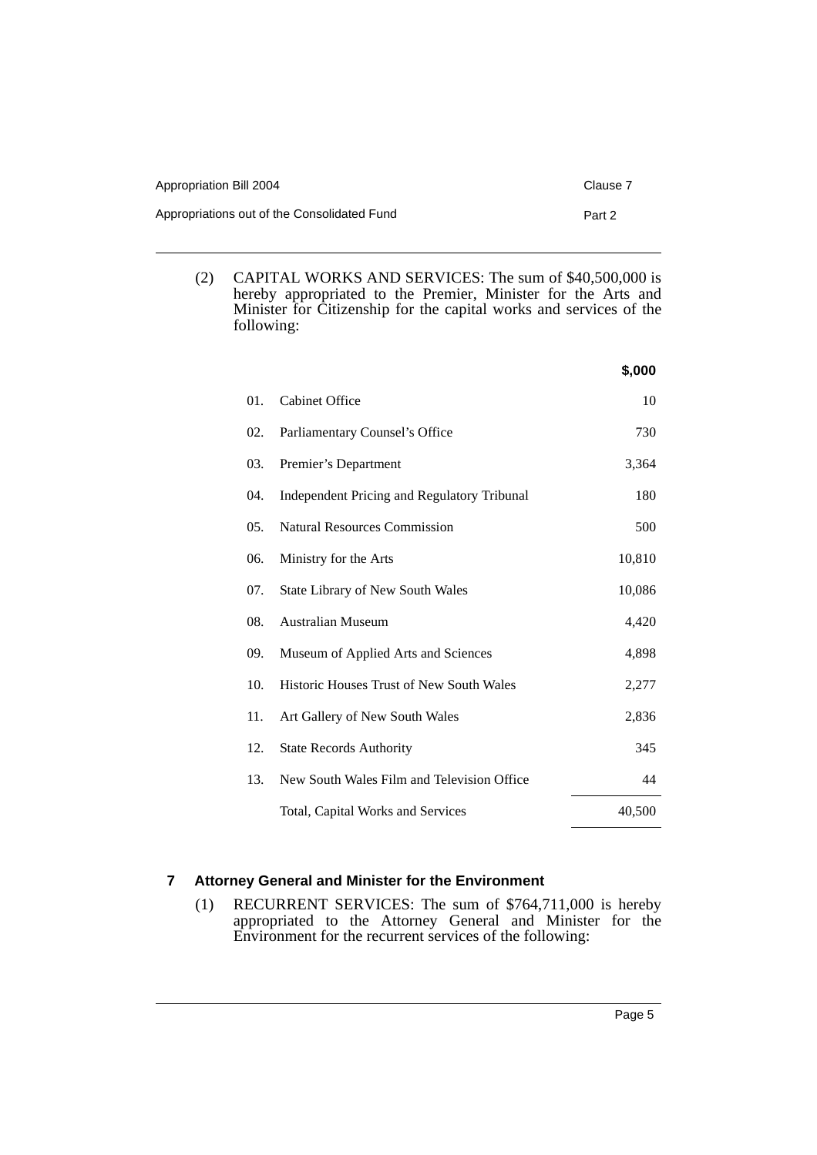| Appropriation Bill 2004                     | Clause 7 |
|---------------------------------------------|----------|
| Appropriations out of the Consolidated Fund | Part 2   |

(2) CAPITAL WORKS AND SERVICES: The sum of \$40,500,000 is hereby appropriated to the Premier, Minister for the Arts and Minister for Citizenship for the capital works and services of the following:

|     |                                                    | \$,000 |
|-----|----------------------------------------------------|--------|
| 01. | <b>Cabinet Office</b>                              | 10     |
| 02. | Parliamentary Counsel's Office                     | 730    |
| 03. | Premier's Department                               | 3,364  |
| 04. | <b>Independent Pricing and Regulatory Tribunal</b> | 180    |
| 05. | <b>Natural Resources Commission</b>                | 500    |
| 06. | Ministry for the Arts                              | 10,810 |
| 07. | State Library of New South Wales                   | 10,086 |
| 08. | <b>Australian Museum</b>                           | 4,420  |
| 09. | Museum of Applied Arts and Sciences                | 4,898  |
| 10. | <b>Historic Houses Trust of New South Wales</b>    | 2,277  |
| 11. | Art Gallery of New South Wales                     | 2,836  |
| 12. | <b>State Records Authority</b>                     | 345    |
| 13. | New South Wales Film and Television Office         | 44     |
|     | Total, Capital Works and Services                  | 40,500 |

# **7 Attorney General and Minister for the Environment**

(1) RECURRENT SERVICES: The sum of \$764,711,000 is hereby appropriated to the Attorney General and Minister for the Environment for the recurrent services of the following: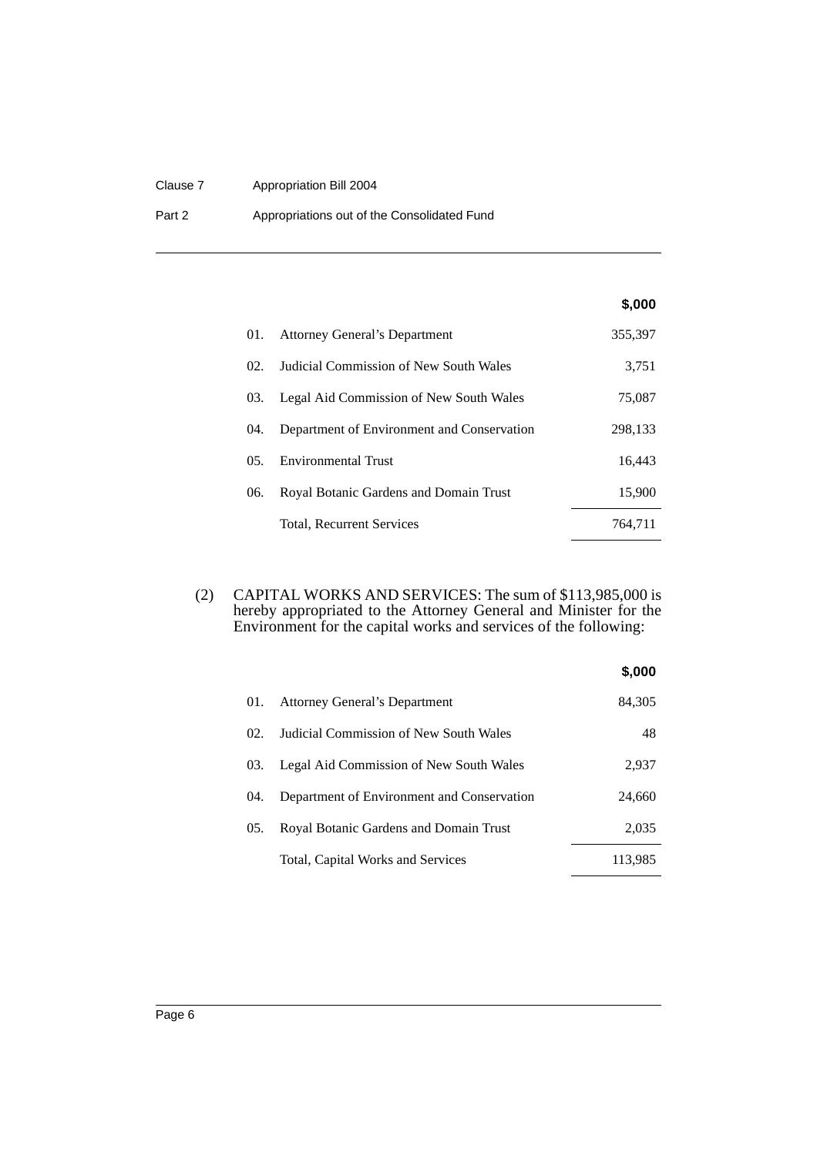#### Clause 7 Appropriation Bill 2004

Part 2 **Appropriations out of the Consolidated Fund** 

## **\$,000**

| 01. | <b>Attorney General's Department</b>       | 355,397 |
|-----|--------------------------------------------|---------|
| 02. | Judicial Commission of New South Wales     | 3,751   |
| 03. | Legal Aid Commission of New South Wales    | 75,087  |
| 04. | Department of Environment and Conservation | 298,133 |
| 0.5 | Environmental Trust                        | 16,443  |
| 06. | Royal Botanic Gardens and Domain Trust     | 15,900  |
|     | Total, Recurrent Services                  | 764.711 |

(2) CAPITAL WORKS AND SERVICES: The sum of \$113,985,000 is hereby appropriated to the Attorney General and Minister for the Environment for the capital works and services of the following:

|       |                                            | \$,000  |
|-------|--------------------------------------------|---------|
| 01.   | <b>Attorney General's Department</b>       | 84,305  |
| 02.   | Judicial Commission of New South Wales     | 48      |
| 03.   | Legal Aid Commission of New South Wales    | 2,937   |
| (1)4. | Department of Environment and Conservation | 24,660  |
| 05.   | Royal Botanic Gardens and Domain Trust     | 2,035   |
|       | Total, Capital Works and Services          | 113,985 |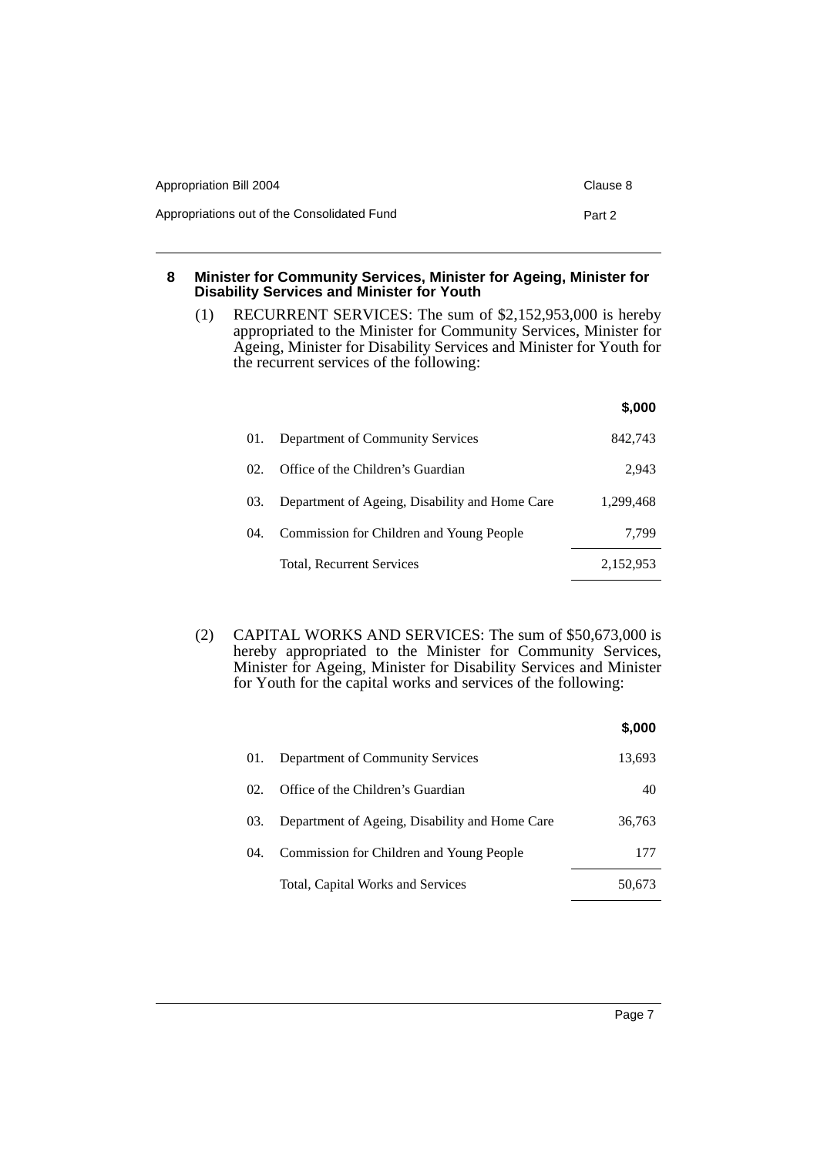| Appropriation Bill 2004                     | Clause 8 |
|---------------------------------------------|----------|
| Appropriations out of the Consolidated Fund | Part 2   |

### **8 Minister for Community Services, Minister for Ageing, Minister for Disability Services and Minister for Youth**

(1) RECURRENT SERVICES: The sum of \$2,152,953,000 is hereby appropriated to the Minister for Community Services, Minister for Ageing, Minister for Disability Services and Minister for Youth for the recurrent services of the following:

|       |                                                | \$,000    |
|-------|------------------------------------------------|-----------|
| 01.   | Department of Community Services               | 842.743   |
| 02.   | Office of the Children's Guardian              | 2,943     |
| 03.   | Department of Ageing, Disability and Home Care | 1,299,468 |
| (1)4. | Commission for Children and Young People       | 7.799     |
|       | Total, Recurrent Services                      | 2,152,953 |

(2) CAPITAL WORKS AND SERVICES: The sum of \$50,673,000 is hereby appropriated to the Minister for Community Services, Minister for Ageing, Minister for Disability Services and Minister for Youth for the capital works and services of the following:

|       |                                                | \$,000 |
|-------|------------------------------------------------|--------|
| 01.   | Department of Community Services               | 13,693 |
| 02.   | Office of the Children's Guardian              | 40     |
| 03.   | Department of Ageing, Disability and Home Care | 36,763 |
| (1)4. | Commission for Children and Young People       | 177    |
|       | Total, Capital Works and Services              | 50.673 |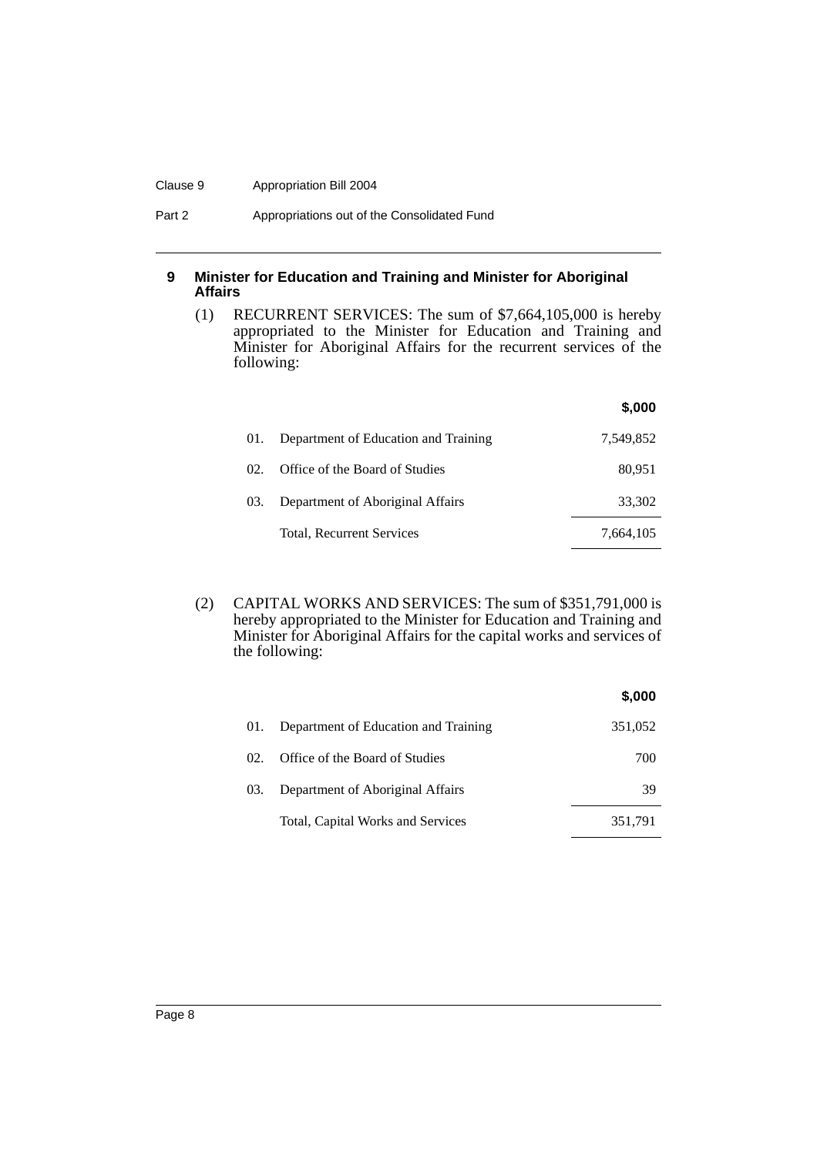#### Clause 9 Appropriation Bill 2004

Part 2 **Appropriations out of the Consolidated Fund** 

## **9 Minister for Education and Training and Minister for Aboriginal Affairs**

(1) RECURRENT SERVICES: The sum of \$7,664,105,000 is hereby appropriated to the Minister for Education and Training and Minister for Aboriginal Affairs for the recurrent services of the following:

|     |                                      | \$,000    |
|-----|--------------------------------------|-----------|
| 01. | Department of Education and Training | 7,549,852 |
| 02. | Office of the Board of Studies       | 80.951    |
| 03. | Department of Aboriginal Affairs     | 33,302    |
|     | Total, Recurrent Services            | 7,664,105 |

(2) CAPITAL WORKS AND SERVICES: The sum of \$351,791,000 is hereby appropriated to the Minister for Education and Training and Minister for Aboriginal Affairs for the capital works and services of the following:

|     |                                      | \$,000  |
|-----|--------------------------------------|---------|
| 01. | Department of Education and Training | 351,052 |
| 02. | Office of the Board of Studies       | 700     |
| 03. | Department of Aboriginal Affairs     | 39      |
|     | Total, Capital Works and Services    | 351,791 |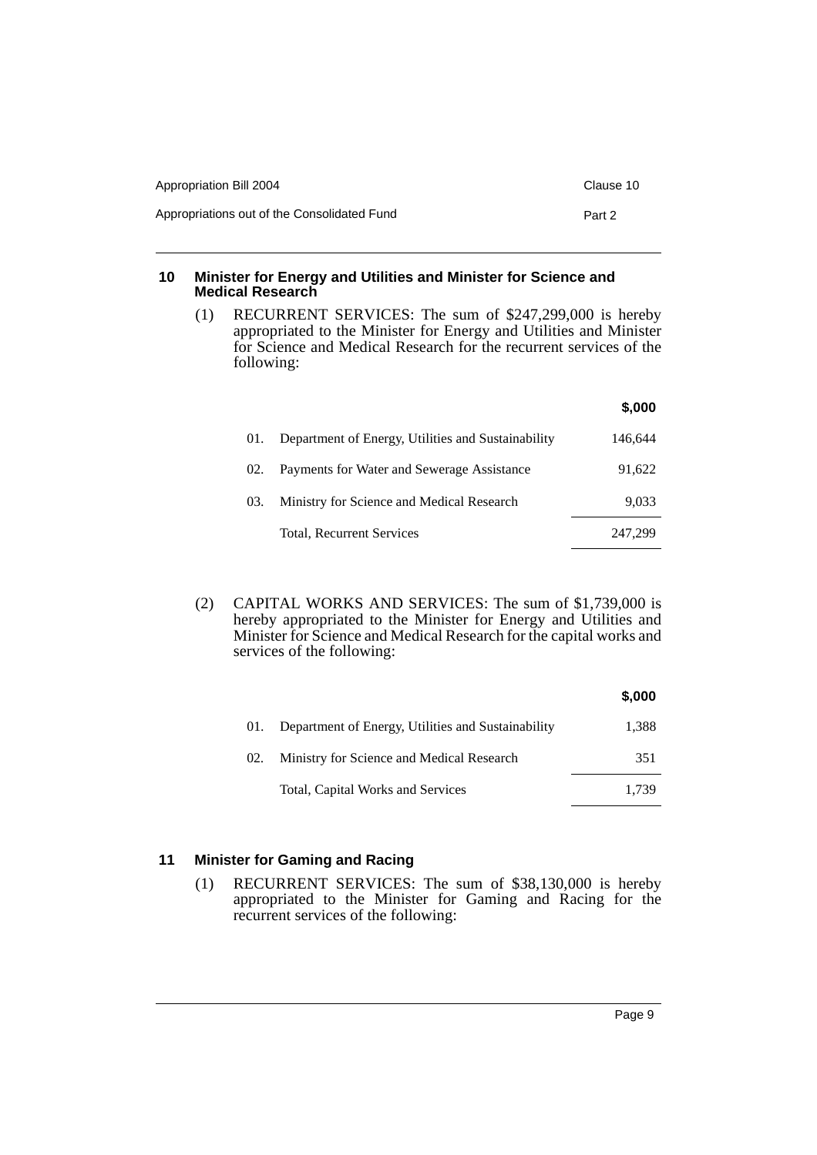| Appropriation Bill 2004                     | Clause 10 |
|---------------------------------------------|-----------|
| Appropriations out of the Consolidated Fund | Part 2    |

## **10 Minister for Energy and Utilities and Minister for Science and Medical Research**

(1) RECURRENT SERVICES: The sum of \$247,299,000 is hereby appropriated to the Minister for Energy and Utilities and Minister for Science and Medical Research for the recurrent services of the following:

|                                                           | \$,000  |
|-----------------------------------------------------------|---------|
| Department of Energy, Utilities and Sustainability<br>01. | 146,644 |
| Payments for Water and Sewerage Assistance<br>02.         | 91,622  |
| Ministry for Science and Medical Research<br>03.          | 9.033   |
| Total, Recurrent Services                                 | 247.299 |
|                                                           |         |

(2) CAPITAL WORKS AND SERVICES: The sum of \$1,739,000 is hereby appropriated to the Minister for Energy and Utilities and Minister for Science and Medical Research for the capital works and services of the following:

|     |                                                    | \$,000 |
|-----|----------------------------------------------------|--------|
| 01. | Department of Energy, Utilities and Sustainability | 1,388  |
| 02. | Ministry for Science and Medical Research          | 351    |
|     | Total, Capital Works and Services                  | 1.739  |

# **11 Minister for Gaming and Racing**

(1) RECURRENT SERVICES: The sum of \$38,130,000 is hereby appropriated to the Minister for Gaming and Racing for the recurrent services of the following: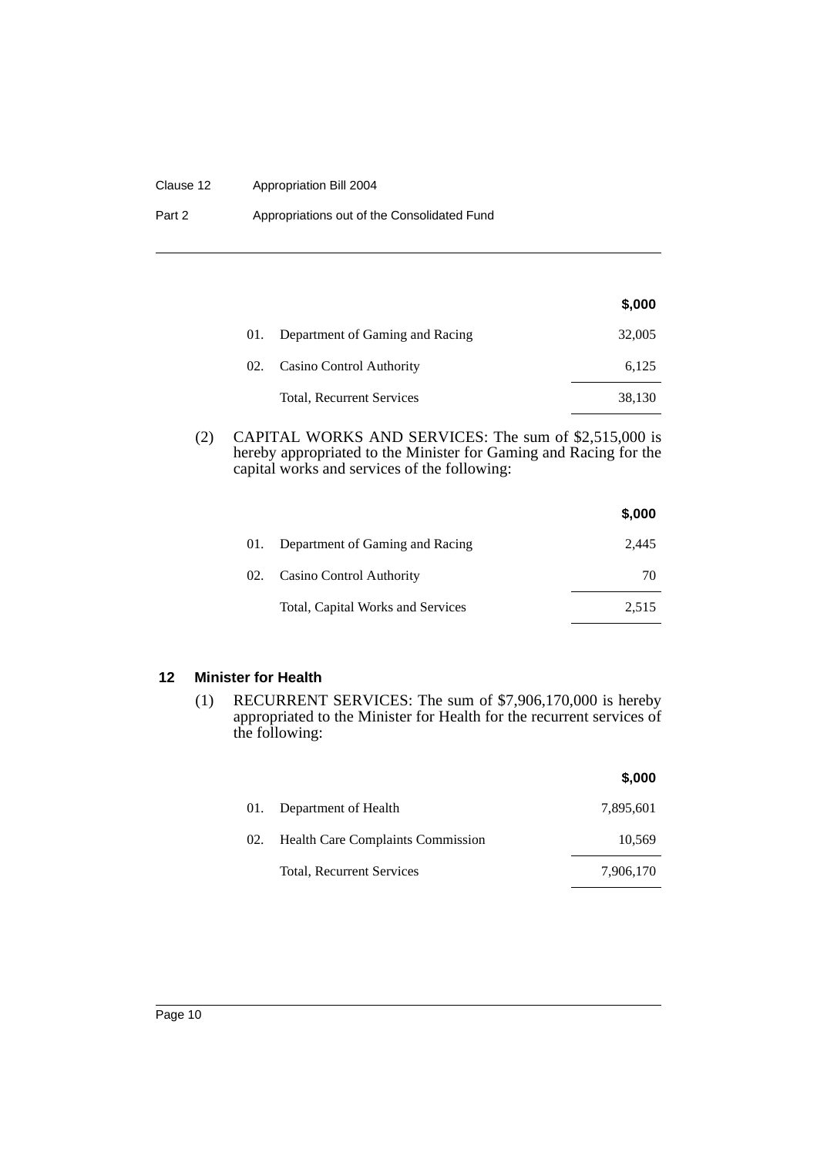#### Clause 12 Appropriation Bill 2004

| Part 2 | Appropriations out of the Consolidated Fund |
|--------|---------------------------------------------|
|--------|---------------------------------------------|

|  |                                  | \$,000 |
|--|----------------------------------|--------|
|  | Department of Gaming and Racing  | 32,005 |
|  | 02. Casino Control Authority     | 6,125  |
|  | <b>Total, Recurrent Services</b> | 38,130 |

(2) CAPITAL WORKS AND SERVICES: The sum of \$2,515,000 is hereby appropriated to the Minister for Gaming and Racing for the capital works and services of the following:

|     |                                   | \$,000 |
|-----|-----------------------------------|--------|
| 01. | Department of Gaming and Racing   | 2.445  |
| 02. | Casino Control Authority          | 70     |
|     | Total, Capital Works and Services | 2,515  |

# **12 Minister for Health**

(1) RECURRENT SERVICES: The sum of \$7,906,170,000 is hereby appropriated to the Minister for Health for the recurrent services of the following:

|     |                                          | \$,000    |
|-----|------------------------------------------|-----------|
| 01. | Department of Health                     | 7,895,601 |
| 02. | <b>Health Care Complaints Commission</b> | 10,569    |
|     | Total, Recurrent Services                | 7,906,170 |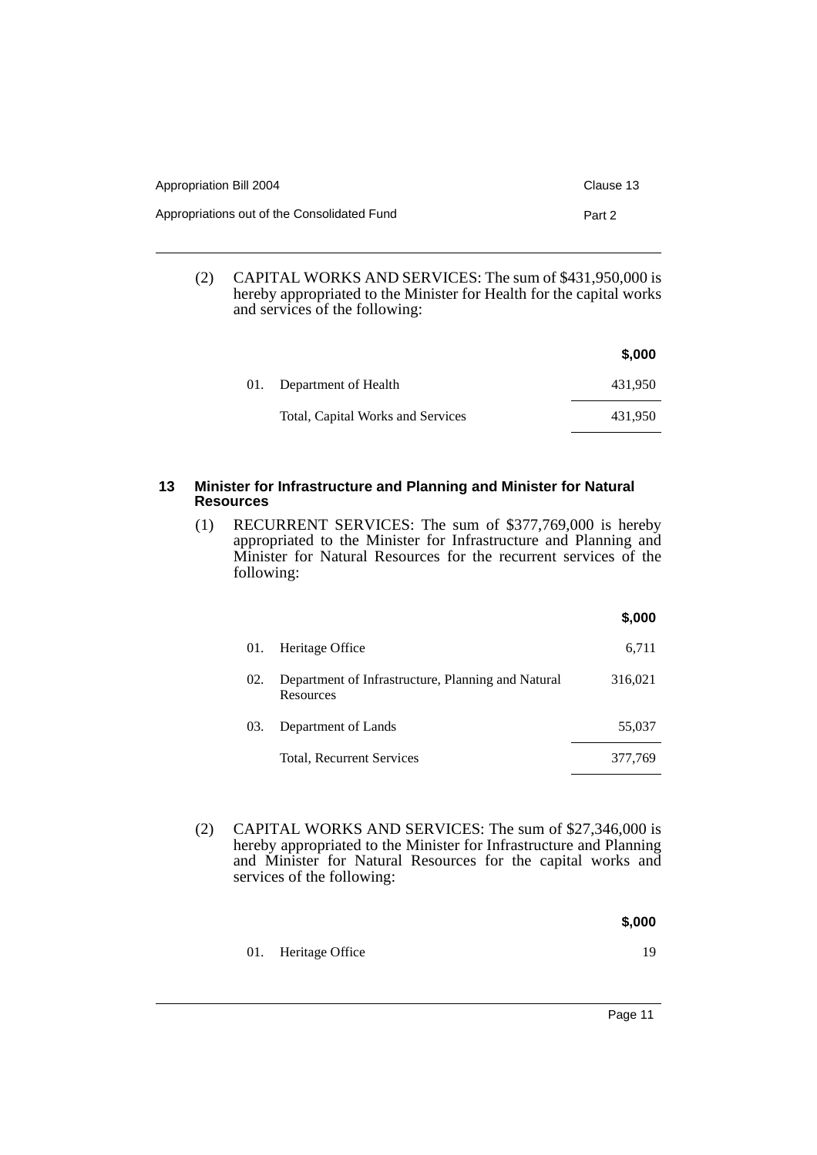| Appropriation Bill 2004                     | Clause 13 |
|---------------------------------------------|-----------|
| Appropriations out of the Consolidated Fund | Part 2    |

(2) CAPITAL WORKS AND SERVICES: The sum of \$431,950,000 is hereby appropriated to the Minister for Health for the capital works and services of the following:

|                                   | \$,000  |
|-----------------------------------|---------|
| 01. Department of Health          | 431.950 |
| Total, Capital Works and Services | 431.950 |

## **13 Minister for Infrastructure and Planning and Minister for Natural Resources**

(1) RECURRENT SERVICES: The sum of \$377,769,000 is hereby appropriated to the Minister for Infrastructure and Planning and Minister for Natural Resources for the recurrent services of the following:

|     |                                                                 | \$,000  |
|-----|-----------------------------------------------------------------|---------|
| 01. | Heritage Office                                                 | 6,711   |
| 02. | Department of Infrastructure, Planning and Natural<br>Resources | 316,021 |
| 03. | Department of Lands                                             | 55,037  |
|     | Total, Recurrent Services                                       | 377,769 |

- (2) CAPITAL WORKS AND SERVICES: The sum of \$27,346,000 is hereby appropriated to the Minister for Infrastructure and Planning and Minister for Natural Resources for the capital works and services of the following:
	- **\$,000** 01. Heritage Office 19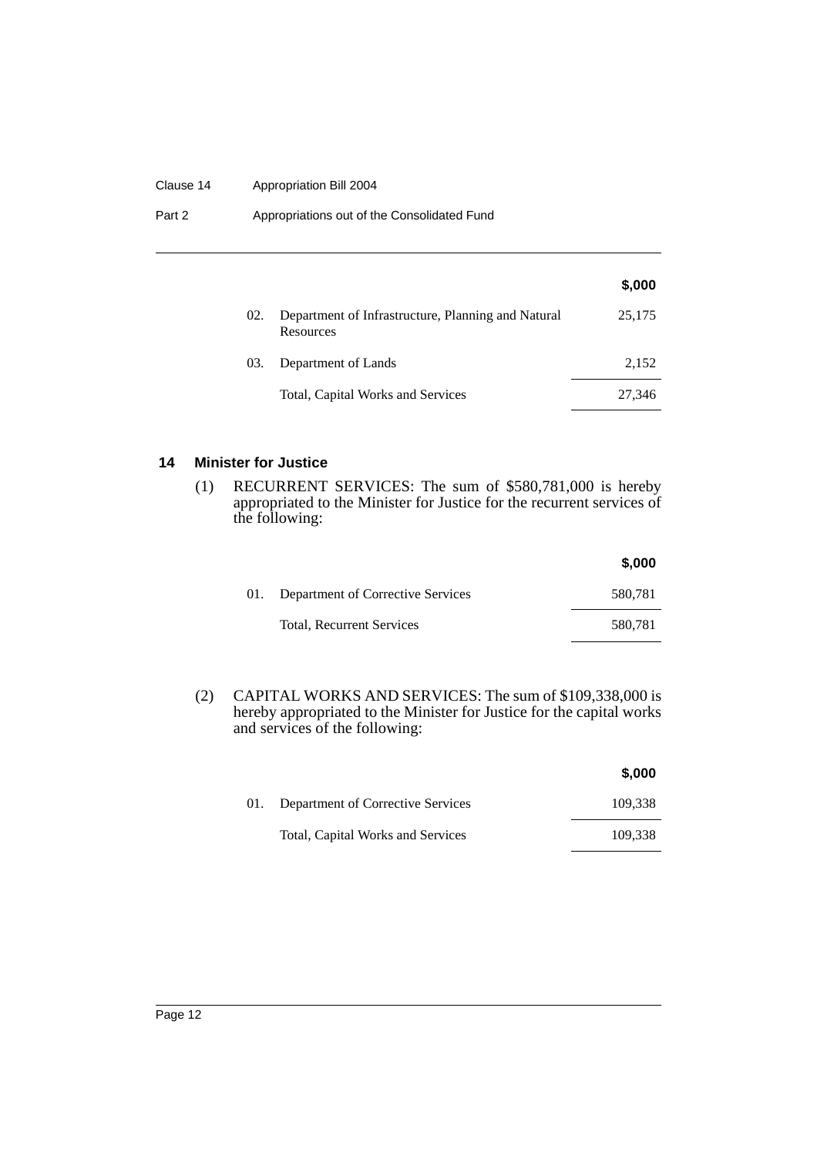#### Clause 14 Appropriation Bill 2004

Part 2 **Appropriations out of the Consolidated Fund** 

|     |                                                                 | \$,000 |
|-----|-----------------------------------------------------------------|--------|
| 02. | Department of Infrastructure, Planning and Natural<br>Resources | 25,175 |
| 03. | Department of Lands                                             | 2,152  |
|     | Total, Capital Works and Services                               | 27,346 |

## **14 Minister for Justice**

(1) RECURRENT SERVICES: The sum of \$580,781,000 is hereby appropriated to the Minister for Justice for the recurrent services of the following:

|     |                                   | \$,000  |
|-----|-----------------------------------|---------|
| 01. | Department of Corrective Services | 580,781 |
|     | Total, Recurrent Services         | 580,781 |

(2) CAPITAL WORKS AND SERVICES: The sum of \$109,338,000 is hereby appropriated to the Minister for Justice for the capital works and services of the following:

|     |                                   | \$,000  |
|-----|-----------------------------------|---------|
| 01. | Department of Corrective Services | 109.338 |
|     | Total, Capital Works and Services | 109.338 |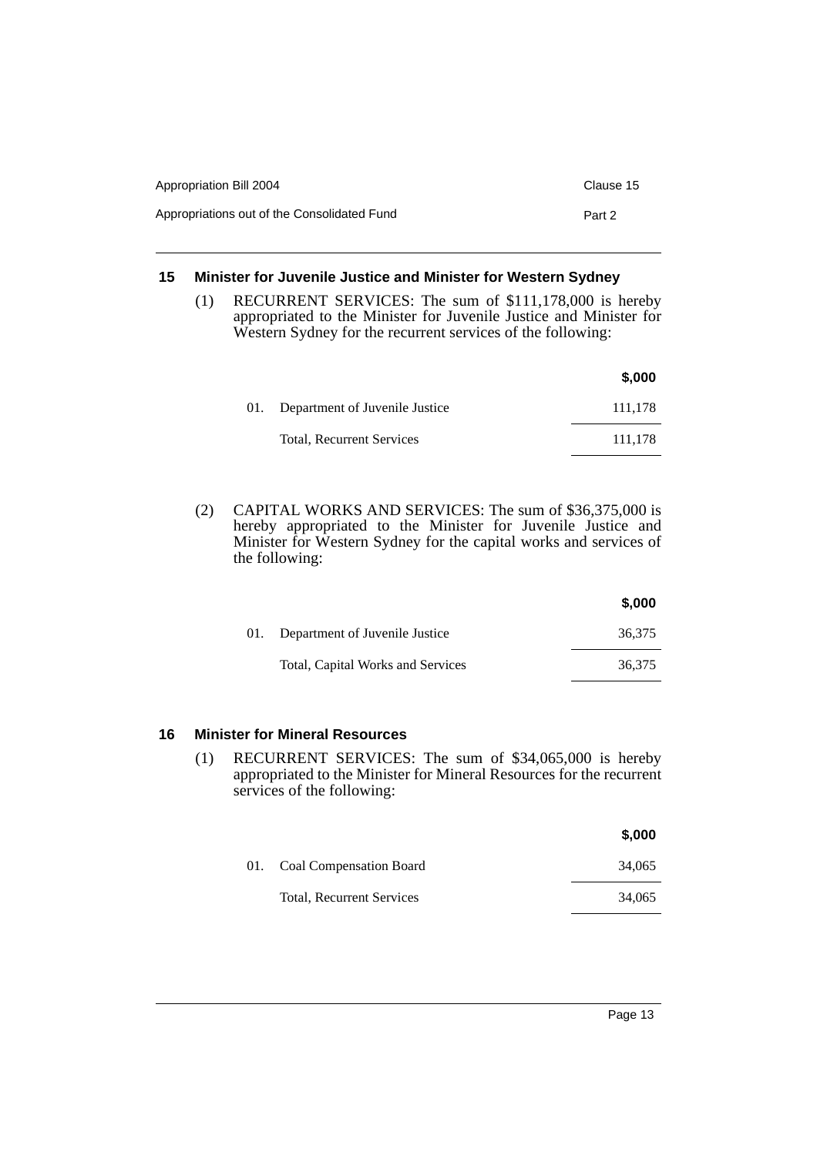| Appropriation Bill 2004                     | Clause 15 |
|---------------------------------------------|-----------|
| Appropriations out of the Consolidated Fund | Part 2    |

# **15 Minister for Juvenile Justice and Minister for Western Sydney**

(1) RECURRENT SERVICES: The sum of \$111,178,000 is hereby appropriated to the Minister for Juvenile Justice and Minister for Western Sydney for the recurrent services of the following:

|     |                                | \$.000  |
|-----|--------------------------------|---------|
| 01. | Department of Juvenile Justice | 111.178 |
|     | Total, Recurrent Services      | 111.178 |

(2) CAPITAL WORKS AND SERVICES: The sum of \$36,375,000 is hereby appropriated to the Minister for Juvenile Justice and Minister for Western Sydney for the capital works and services of the following:

|                                    | \$,000 |
|------------------------------------|--------|
| 01. Department of Juvenile Justice | 36.375 |
| Total, Capital Works and Services  | 36.375 |

# **16 Minister for Mineral Resources**

(1) RECURRENT SERVICES: The sum of \$34,065,000 is hereby appropriated to the Minister for Mineral Resources for the recurrent services of the following:

|                             | \$,000 |
|-----------------------------|--------|
| 01. Coal Compensation Board | 34.065 |
| Total, Recurrent Services   | 34,065 |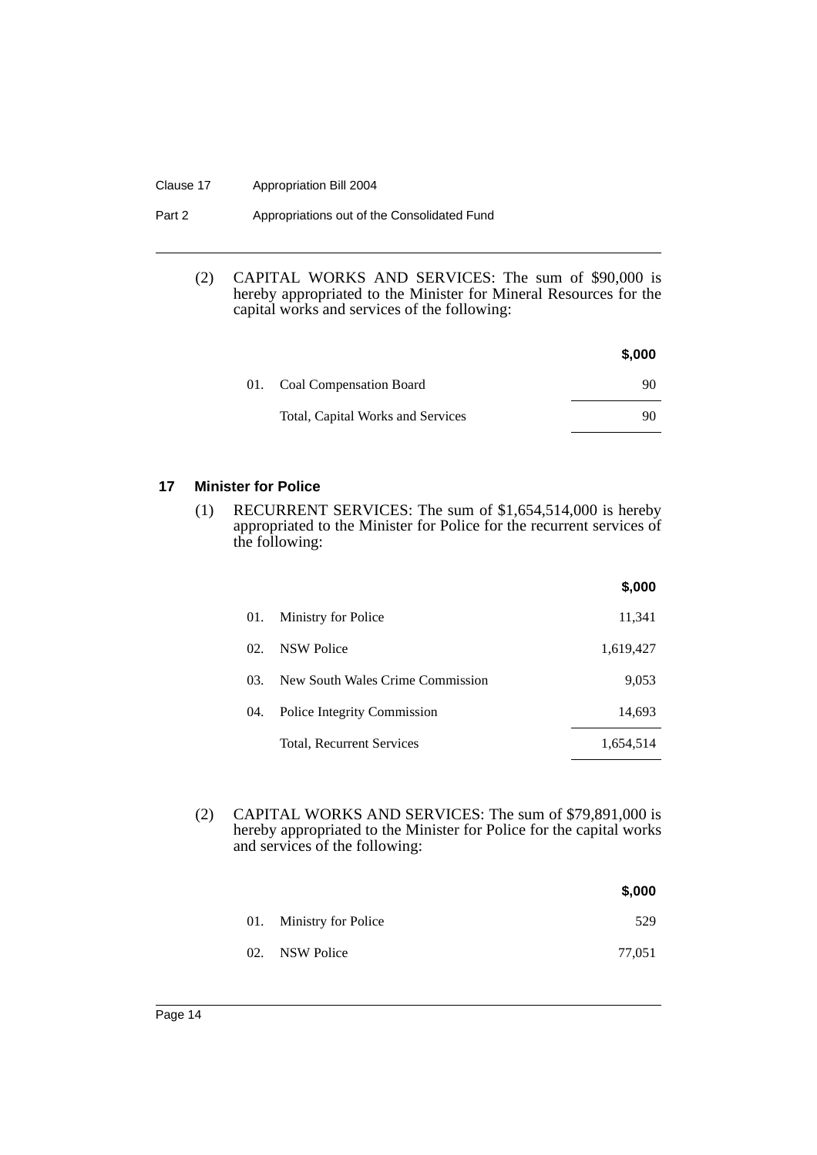#### Clause 17 Appropriation Bill 2004

| Part 2 | Appropriations out of the Consolidated Fund |
|--------|---------------------------------------------|
|--------|---------------------------------------------|

(2) CAPITAL WORKS AND SERVICES: The sum of \$90,000 is hereby appropriated to the Minister for Mineral Resources for the capital works and services of the following:

|                                   | \$,000 |
|-----------------------------------|--------|
| 01. Coal Compensation Board       | 90     |
| Total, Capital Works and Services | 90     |

## **17 Minister for Police**

(1) RECURRENT SERVICES: The sum of \$1,654,514,000 is hereby appropriated to the Minister for Police for the recurrent services of the following:

|     |                                  | \$,000    |
|-----|----------------------------------|-----------|
| 01. | Ministry for Police              | 11,341    |
| 02. | <b>NSW Police</b>                | 1,619,427 |
| 03. | New South Wales Crime Commission | 9,053     |
| 04. | Police Integrity Commission      | 14,693    |
|     | Total, Recurrent Services        | 1,654,514 |

(2) CAPITAL WORKS AND SERVICES: The sum of \$79,891,000 is hereby appropriated to the Minister for Police for the capital works and services of the following:

|                         | \$,000 |
|-------------------------|--------|
| 01. Ministry for Police | 529    |
| 02. NSW Police          | 77,051 |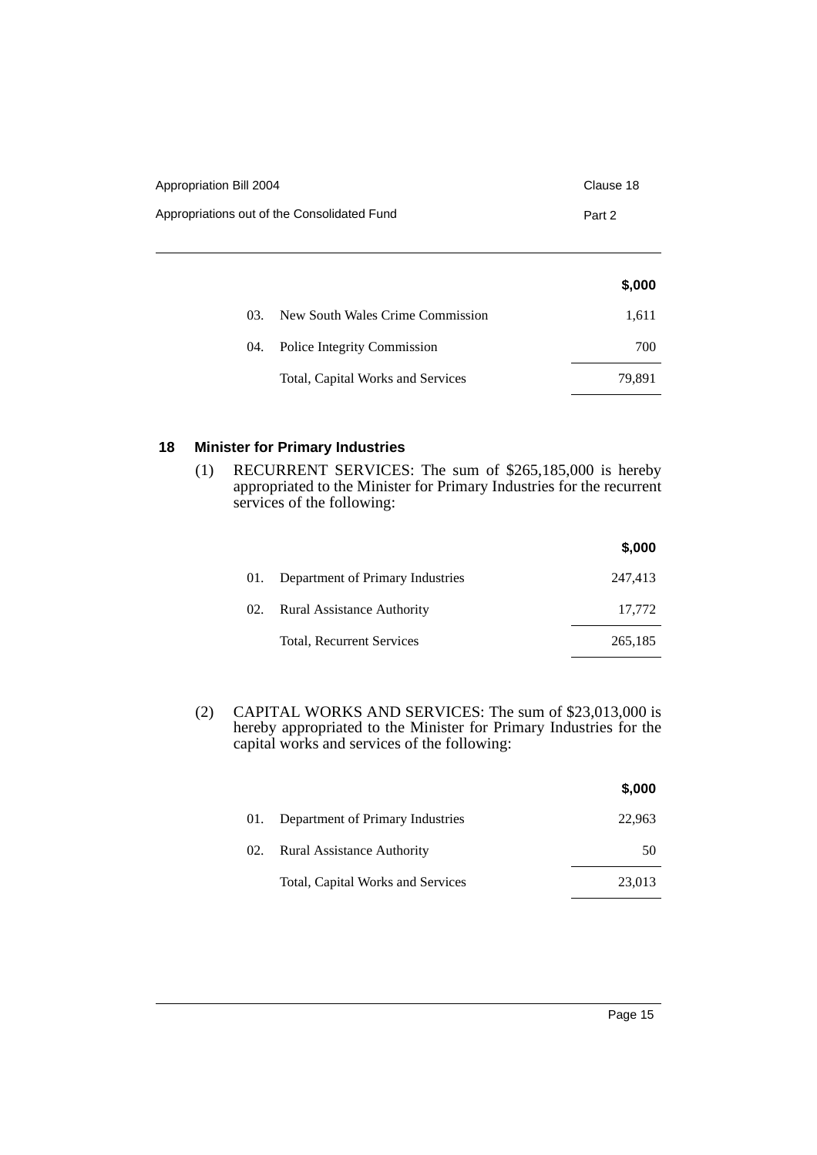| Appropriation Bill 2004                     | Clause 18 |
|---------------------------------------------|-----------|
| Appropriations out of the Consolidated Fund | Part 2    |

|     |                                   | \$,000 |
|-----|-----------------------------------|--------|
| 03. | New South Wales Crime Commission  | 1,611  |
| 04. | Police Integrity Commission       | 700    |
|     | Total, Capital Works and Services | 79,891 |

# **18 Minister for Primary Industries**

(1) RECURRENT SERVICES: The sum of \$265,185,000 is hereby appropriated to the Minister for Primary Industries for the recurrent services of the following:

|     |                                   | \$,000  |
|-----|-----------------------------------|---------|
| 01. | Department of Primary Industries  | 247,413 |
| 02. | <b>Rural Assistance Authority</b> | 17,772  |
|     | Total, Recurrent Services         | 265,185 |

(2) CAPITAL WORKS AND SERVICES: The sum of \$23,013,000 is hereby appropriated to the Minister for Primary Industries for the capital works and services of the following:

|     |                                   | \$,000 |
|-----|-----------------------------------|--------|
| 01. | Department of Primary Industries  | 22,963 |
| 02. | <b>Rural Assistance Authority</b> | 50     |
|     | Total, Capital Works and Services | 23,013 |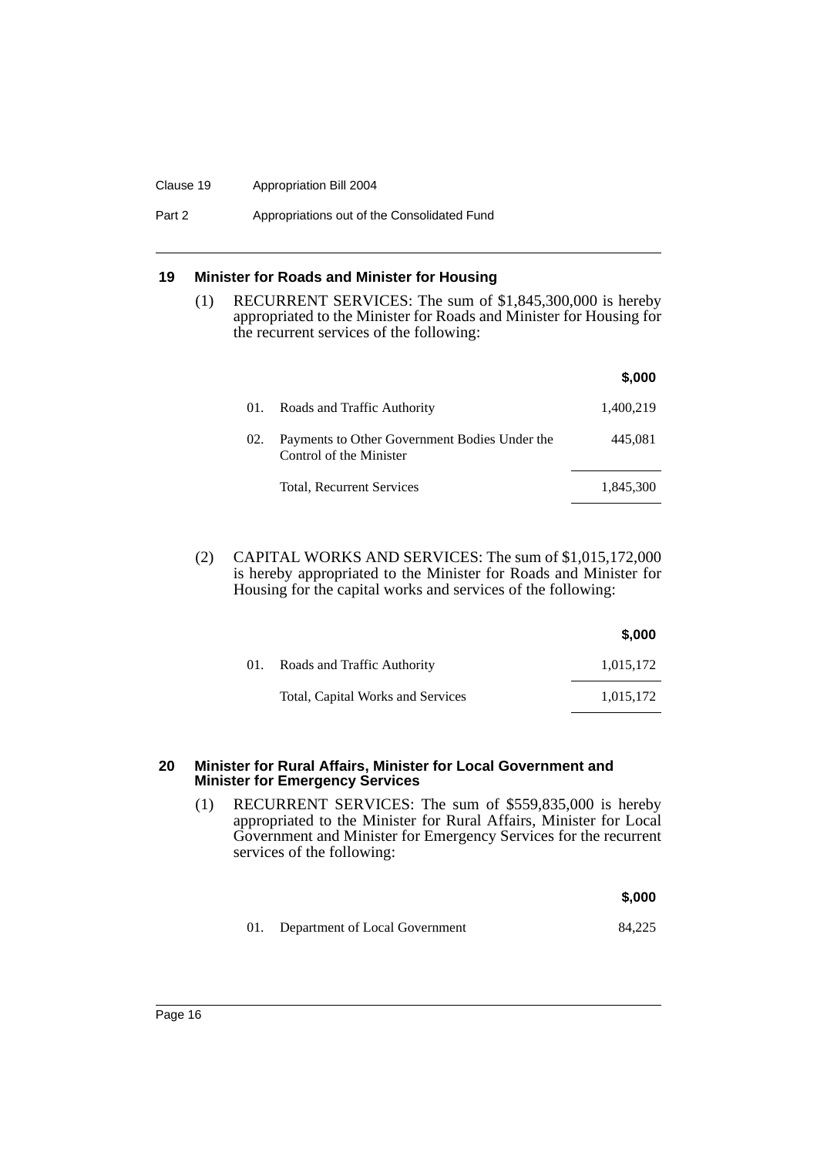#### Clause 19 Appropriation Bill 2004

Part 2 **Appropriations out of the Consolidated Fund** 

## **19 Minister for Roads and Minister for Housing**

(1) RECURRENT SERVICES: The sum of \$1,845,300,000 is hereby appropriated to the Minister for Roads and Minister for Housing for the recurrent services of the following:

|     |                                                                          | \$,000    |
|-----|--------------------------------------------------------------------------|-----------|
| 01. | Roads and Traffic Authority                                              | 1,400,219 |
| 02. | Payments to Other Government Bodies Under the<br>Control of the Minister | 445.081   |
|     | Total, Recurrent Services                                                | 1,845,300 |
|     |                                                                          |           |

(2) CAPITAL WORKS AND SERVICES: The sum of \$1,015,172,000 is hereby appropriated to the Minister for Roads and Minister for Housing for the capital works and services of the following:

|     |                                   | \$,000    |
|-----|-----------------------------------|-----------|
| 01. | Roads and Traffic Authority       | 1,015,172 |
|     | Total, Capital Works and Services | 1,015,172 |

#### **20 Minister for Rural Affairs, Minister for Local Government and Minister for Emergency Services**

(1) RECURRENT SERVICES: The sum of \$559,835,000 is hereby appropriated to the Minister for Rural Affairs, Minister for Local Government and Minister for Emergency Services for the recurrent services of the following:

|                                    | \$.000 |
|------------------------------------|--------|
| 01. Department of Local Government | 84.225 |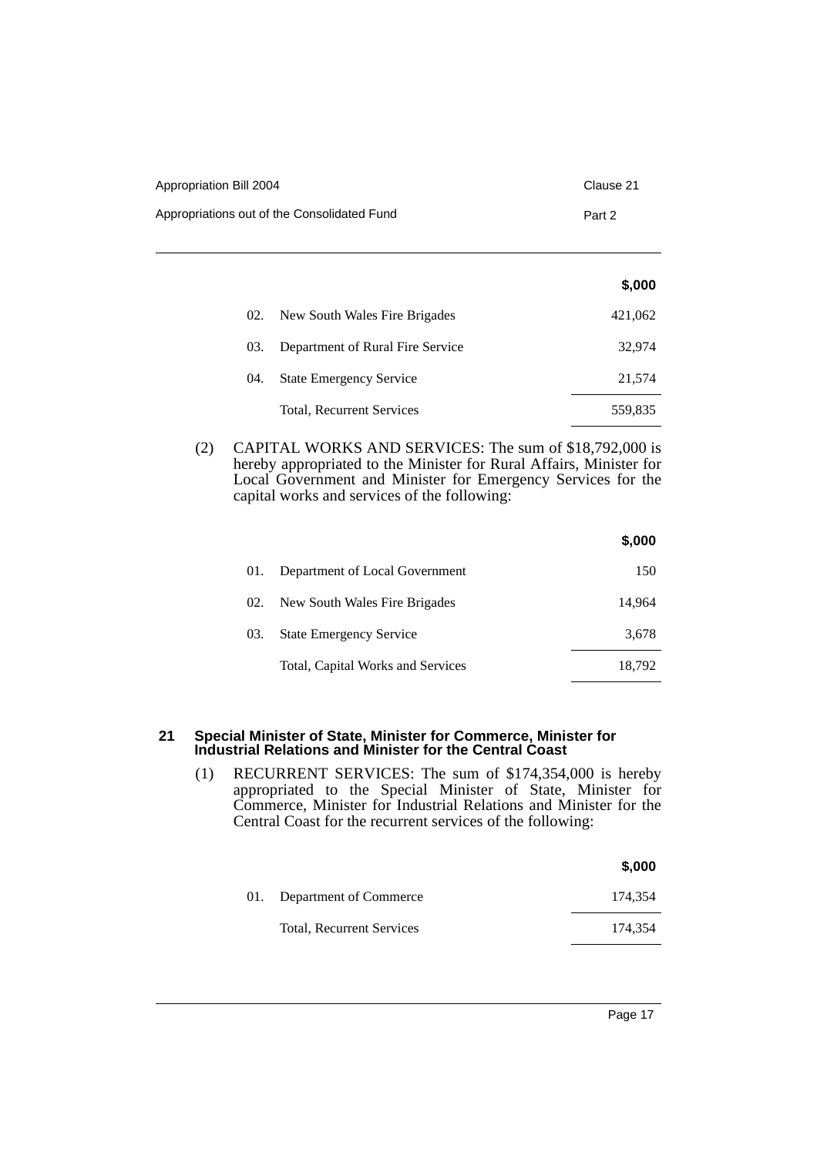| Appropriation Bill 2004                     | Clause 21 |
|---------------------------------------------|-----------|
| Appropriations out of the Consolidated Fund | Part 2    |

|     |                                  | \$,000  |
|-----|----------------------------------|---------|
| 02. | New South Wales Fire Brigades    | 421,062 |
| 03. | Department of Rural Fire Service | 32,974  |
| 04. | <b>State Emergency Service</b>   | 21,574  |
|     | Total, Recurrent Services        | 559,835 |

(2) CAPITAL WORKS AND SERVICES: The sum of \$18,792,000 is hereby appropriated to the Minister for Rural Affairs, Minister for Local Government and Minister for Emergency Services for the capital works and services of the following:

|     |                                   | \$,000 |
|-----|-----------------------------------|--------|
| 01. | Department of Local Government    | 150    |
| 02. | New South Wales Fire Brigades     | 14.964 |
| 03. | <b>State Emergency Service</b>    | 3,678  |
|     | Total, Capital Works and Services | 18,792 |

#### **21 Special Minister of State, Minister for Commerce, Minister for Industrial Relations and Minister for the Central Coast**

(1) RECURRENT SERVICES: The sum of \$174,354,000 is hereby appropriated to the Special Minister of State, Minister for Commerce, Minister for Industrial Relations and Minister for the Central Coast for the recurrent services of the following:

|     |                           | \$,000  |
|-----|---------------------------|---------|
| 01. | Department of Commerce    | 174.354 |
|     | Total, Recurrent Services | 174.354 |
|     |                           |         |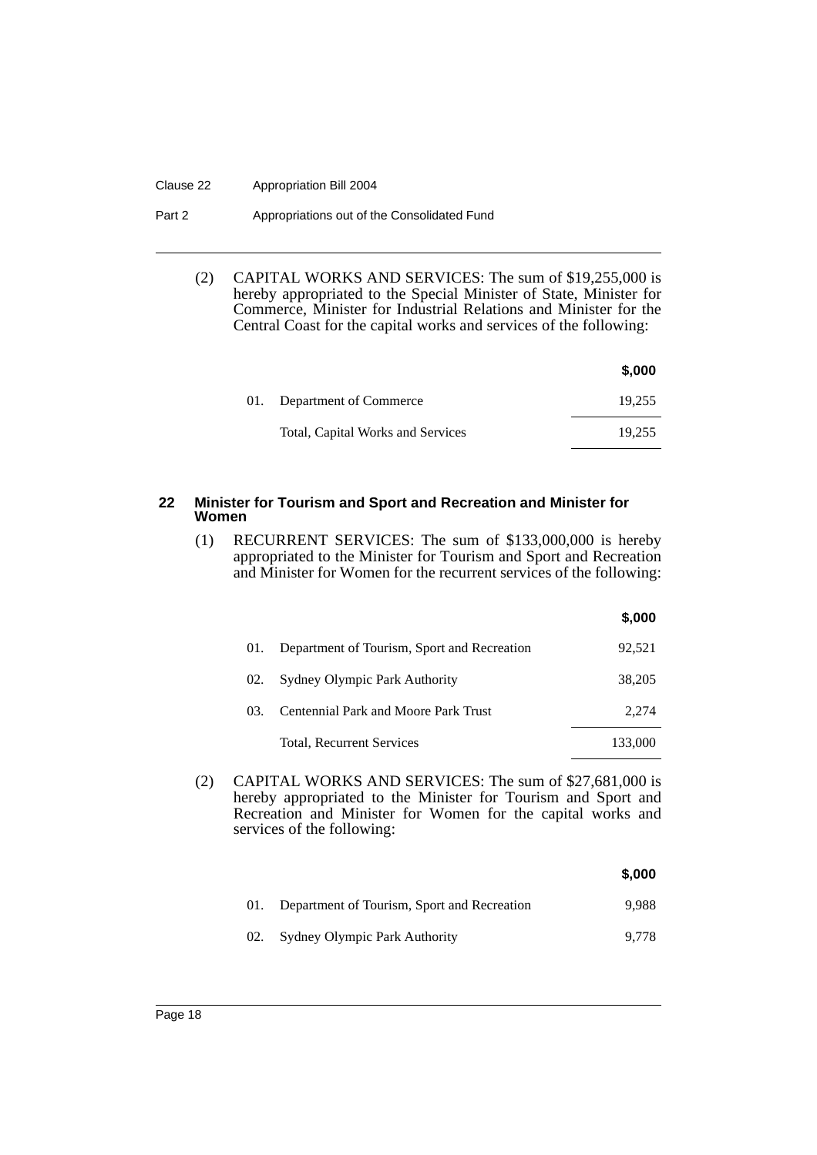#### Clause 22 Appropriation Bill 2004

#### Part 2 **Appropriations out of the Consolidated Fund**

(2) CAPITAL WORKS AND SERVICES: The sum of \$19,255,000 is hereby appropriated to the Special Minister of State, Minister for Commerce, Minister for Industrial Relations and Minister for the Central Coast for the capital works and services of the following:

|                                   | \$,000 |
|-----------------------------------|--------|
| 01. Department of Commerce        | 19.255 |
| Total, Capital Works and Services | 19.255 |

#### **22 Minister for Tourism and Sport and Recreation and Minister for Women**

(1) RECURRENT SERVICES: The sum of \$133,000,000 is hereby appropriated to the Minister for Tourism and Sport and Recreation and Minister for Women for the recurrent services of the following:

| 01. | Department of Tourism, Sport and Recreation | 92.521  |
|-----|---------------------------------------------|---------|
| 02. | Sydney Olympic Park Authority               | 38.205  |
| 03. | Centennial Park and Moore Park Trust        | 2.274   |
|     | Total, Recurrent Services                   | 133,000 |

**\$,000**

(2) CAPITAL WORKS AND SERVICES: The sum of \$27,681,000 is hereby appropriated to the Minister for Tourism and Sport and Recreation and Minister for Women for the capital works and services of the following:

|     |                                             | \$,000 |
|-----|---------------------------------------------|--------|
| 01. | Department of Tourism, Sport and Recreation | 9.988  |
| 02. | <b>Sydney Olympic Park Authority</b>        | 9.778  |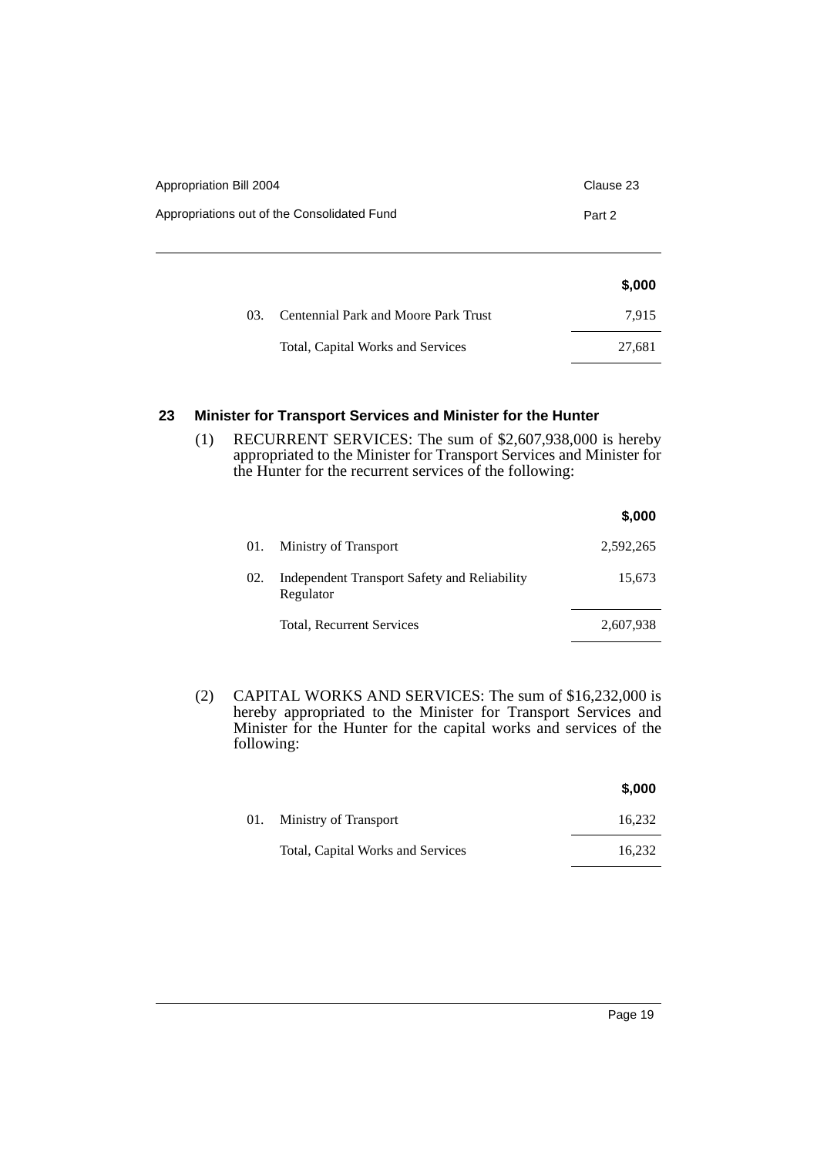| Appropriation Bill 2004                     | Clause 23 |
|---------------------------------------------|-----------|
| Appropriations out of the Consolidated Fund | Part 2    |
|                                             |           |
|                                             | \$,000    |
| Centennial Park and Moore Park Trust<br>03. | 7,915     |
| Total, Capital Works and Services           | 27,681    |

# **23 Minister for Transport Services and Minister for the Hunter**

(1) RECURRENT SERVICES: The sum of \$2,607,938,000 is hereby appropriated to the Minister for Transport Services and Minister for the Hunter for the recurrent services of the following:

|     |                                                           | \$,000    |
|-----|-----------------------------------------------------------|-----------|
| 01. | Ministry of Transport                                     | 2,592,265 |
| 02. | Independent Transport Safety and Reliability<br>Regulator | 15,673    |
|     | Total, Recurrent Services                                 | 2,607,938 |

(2) CAPITAL WORKS AND SERVICES: The sum of \$16,232,000 is hereby appropriated to the Minister for Transport Services and Minister for the Hunter for the capital works and services of the following:

|                                   | \$,000 |
|-----------------------------------|--------|
| 01. Ministry of Transport         | 16,232 |
| Total, Capital Works and Services | 16.232 |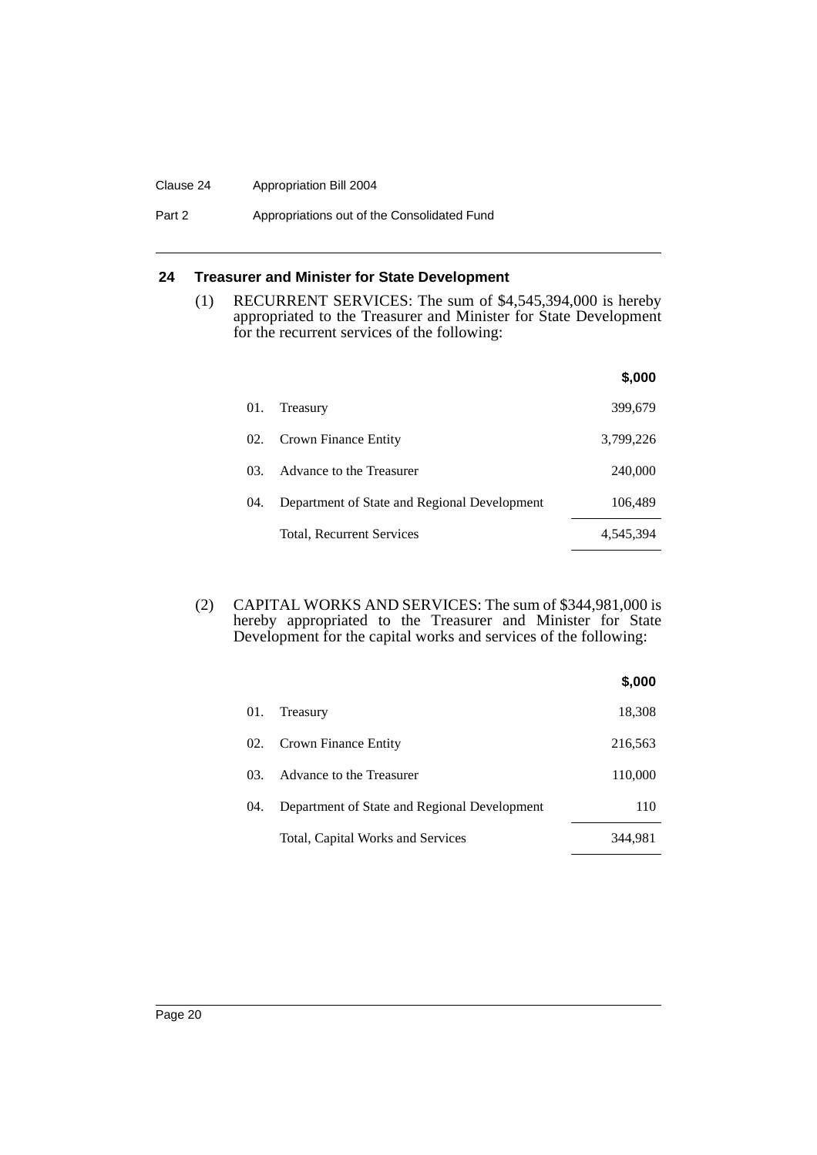#### Clause 24 Appropriation Bill 2004

#### Part 2 **Appropriations out of the Consolidated Fund**

# **24 Treasurer and Minister for State Development**

(1) RECURRENT SERVICES: The sum of \$4,545,394,000 is hereby appropriated to the Treasurer and Minister for State Development for the recurrent services of the following:

|     |                                              | \$.000    |
|-----|----------------------------------------------|-----------|
| 01. | Treasury                                     | 399,679   |
| 02. | Crown Finance Entity                         | 3,799,226 |
| 03. | Advance to the Treasurer                     | 240,000   |
| 04. | Department of State and Regional Development | 106,489   |
|     | Total, Recurrent Services                    | 4,545,394 |

(2) CAPITAL WORKS AND SERVICES: The sum of \$344,981,000 is hereby appropriated to the Treasurer and Minister for State Development for the capital works and services of the following:

|     |                                              | \$,000  |
|-----|----------------------------------------------|---------|
| 01. | Treasury                                     | 18,308  |
|     | 02. Crown Finance Entity                     | 216,563 |
|     | 03. Advance to the Treasurer                 | 110,000 |
| 04. | Department of State and Regional Development | 110     |
|     | Total, Capital Works and Services            | 344,981 |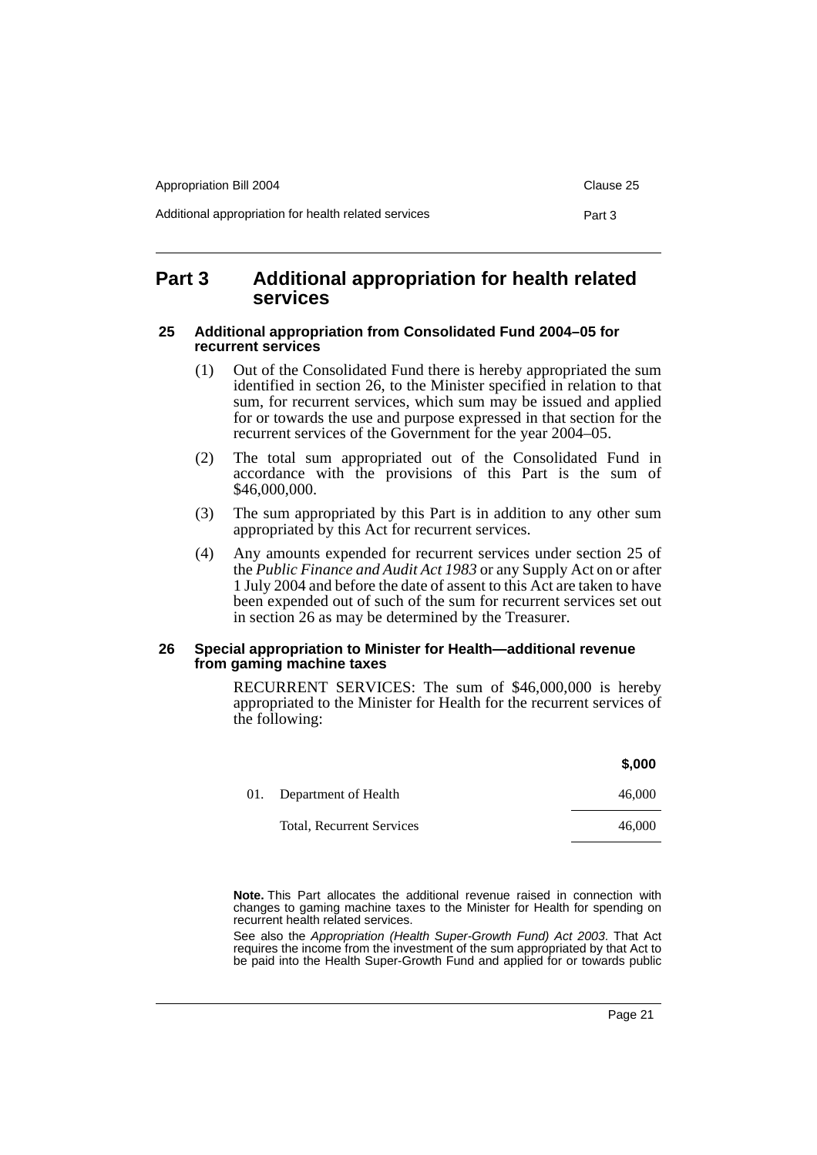| Appropriation Bill 2004                              | Clause 25 |
|------------------------------------------------------|-----------|
| Additional appropriation for health related services | Part 3    |

# **Part 3 Additional appropriation for health related services**

#### **25 Additional appropriation from Consolidated Fund 2004–05 for recurrent services**

- (1) Out of the Consolidated Fund there is hereby appropriated the sum identified in section 26, to the Minister specified in relation to that sum, for recurrent services, which sum may be issued and applied for or towards the use and purpose expressed in that section for the recurrent services of the Government for the year 2004–05.
- (2) The total sum appropriated out of the Consolidated Fund in accordance with the provisions of this Part is the sum of \$46,000,000.
- (3) The sum appropriated by this Part is in addition to any other sum appropriated by this Act for recurrent services.
- (4) Any amounts expended for recurrent services under section 25 of the *Public Finance and Audit Act 1983* or any Supply Act on or after 1 July 2004 and before the date of assent to this Act are taken to have been expended out of such of the sum for recurrent services set out in section 26 as may be determined by the Treasurer.

#### **26 Special appropriation to Minister for Health—additional revenue from gaming machine taxes**

RECURRENT SERVICES: The sum of \$46,000,000 is hereby appropriated to the Minister for Health for the recurrent services of the following:

|                                  | \$,000 |
|----------------------------------|--------|
| 01. Department of Health         | 46,000 |
| <b>Total, Recurrent Services</b> | 46,000 |

**Note.** This Part allocates the additional revenue raised in connection with changes to gaming machine taxes to the Minister for Health for spending on recurrent health related services.

See also the *Appropriation (Health Super-Growth Fund) Act 2003*. That Act requires the income from the investment of the sum appropriated by that Act to be paid into the Health Super-Growth Fund and applied for or towards public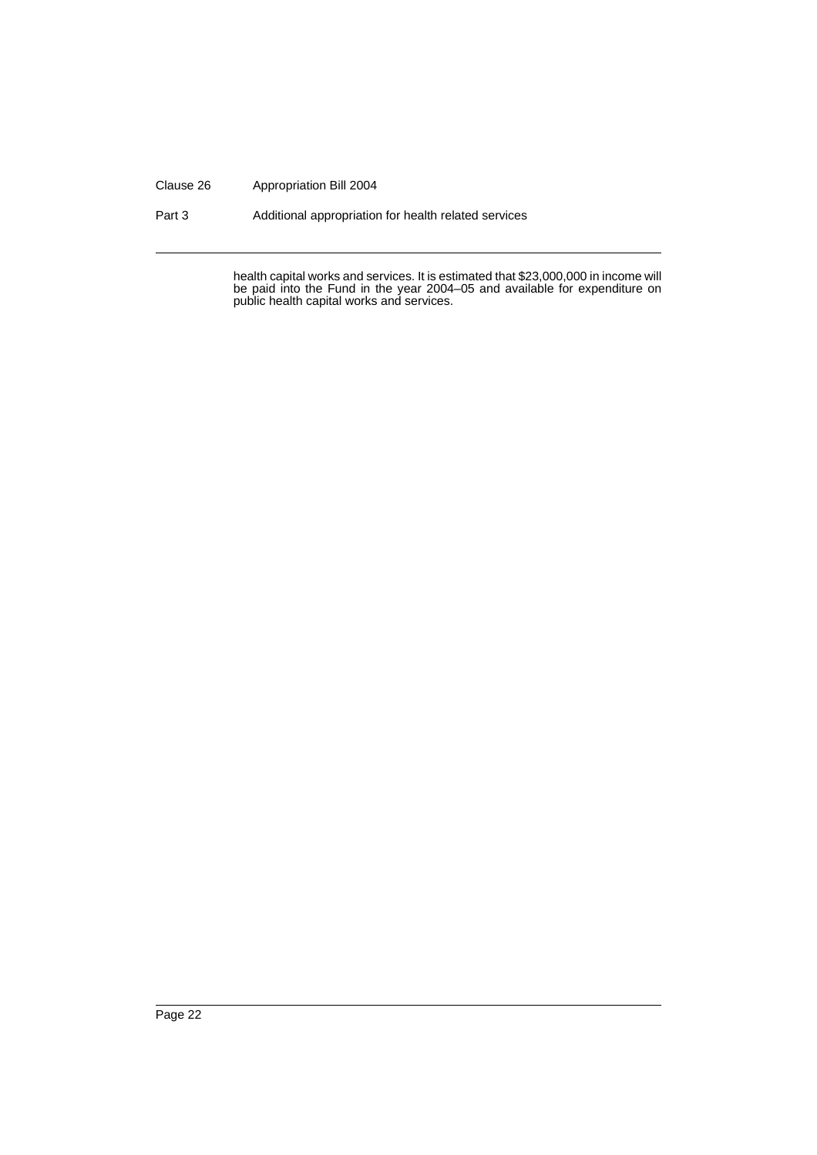#### Clause 26 Appropriation Bill 2004

Part 3 Additional appropriation for health related services

health capital works and services. It is estimated that \$23,000,000 in income will be paid into the Fund in the year 2004–05 and available for expenditure on public health capital works and services.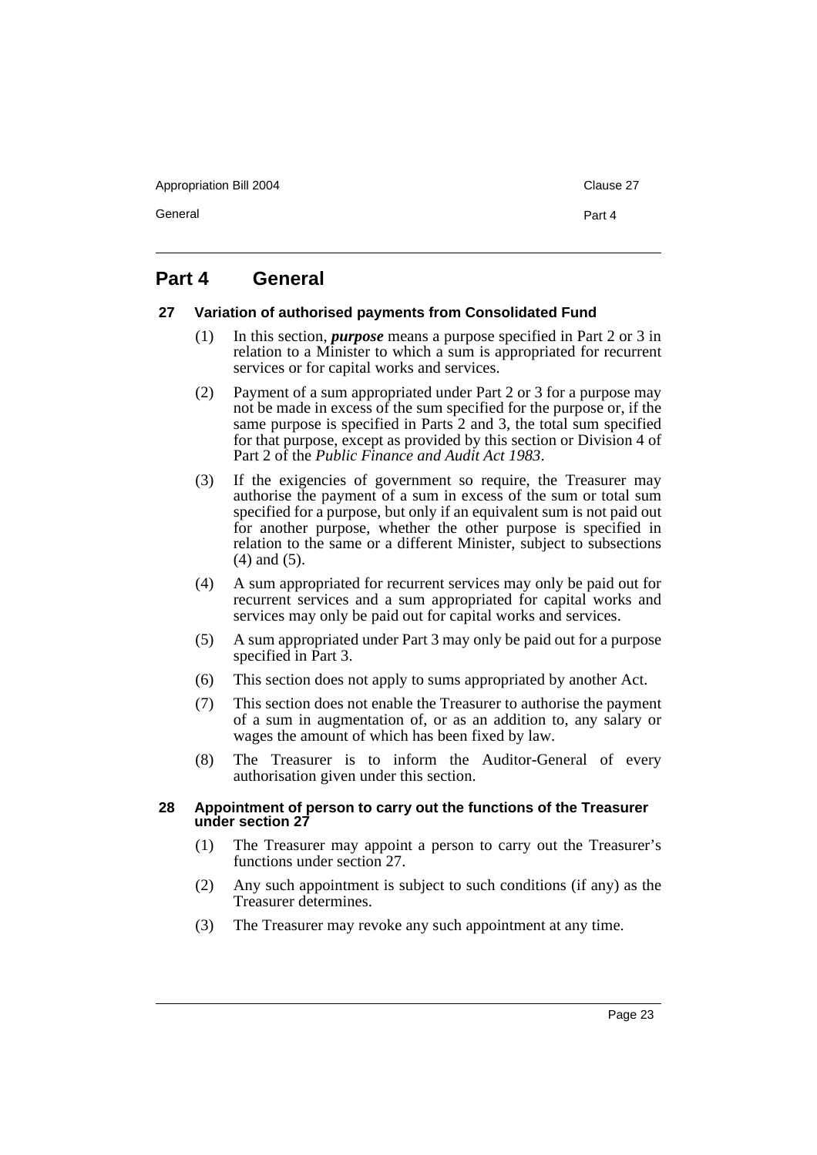Appropriation Bill 2004 Clause 27

General **Part 4** 

# **Part 4 General**

## **27 Variation of authorised payments from Consolidated Fund**

- (1) In this section, *purpose* means a purpose specified in Part 2 or 3 in relation to a Minister to which a sum is appropriated for recurrent services or for capital works and services.
- (2) Payment of a sum appropriated under Part 2 or 3 for a purpose may not be made in excess of the sum specified for the purpose or, if the same purpose is specified in Parts 2 and 3, the total sum specified for that purpose, except as provided by this section or Division 4 of Part 2 of the *Public Finance and Audit Act 1983*.
- (3) If the exigencies of government so require, the Treasurer may authorise the payment of a sum in excess of the sum or total sum specified for a purpose, but only if an equivalent sum is not paid out for another purpose, whether the other purpose is specified in relation to the same or a different Minister, subject to subsections (4) and (5).
- (4) A sum appropriated for recurrent services may only be paid out for recurrent services and a sum appropriated for capital works and services may only be paid out for capital works and services.
- (5) A sum appropriated under Part 3 may only be paid out for a purpose specified in Part 3.
- (6) This section does not apply to sums appropriated by another Act.
- (7) This section does not enable the Treasurer to authorise the payment of a sum in augmentation of, or as an addition to, any salary or wages the amount of which has been fixed by law.
- (8) The Treasurer is to inform the Auditor-General of every authorisation given under this section.

## **28 Appointment of person to carry out the functions of the Treasurer under section 27**

- (1) The Treasurer may appoint a person to carry out the Treasurer's functions under section 27.
- (2) Any such appointment is subject to such conditions (if any) as the Treasurer determines.
- (3) The Treasurer may revoke any such appointment at any time.